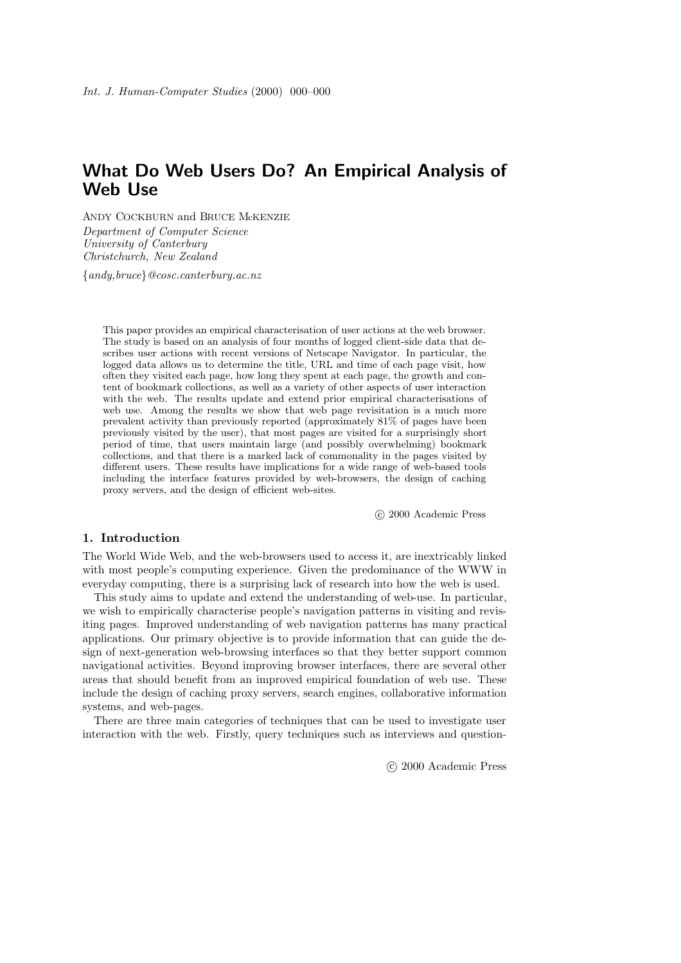# **What Do Web Users Do? An Empirical Analysis of Web Use**

ANDY COCKBURN and BRUCE McKENZIE *Department of Computer Science University of Canterbury Christchurch, New Zealand*

{*andy,bruce*}*@cosc.canterbury.ac.nz*

This paper provides an empirical characterisation of user actions at the web browser. The study is based on an analysis of four months of logged client-side data that describes user actions with recent versions of Netscape Navigator. In particular, the logged data allows us to determine the title, URL and time of each page visit, how often they visited each page, how long they spent at each page, the growth and content of bookmark collections, as well as a variety of other aspects of user interaction with the web. The results update and extend prior empirical characterisations of web use. Among the results we show that web page revisitation is a much more prevalent activity than previously reported (approximately 81% of pages have been previously visited by the user), that most pages are visited for a surprisingly short period of time, that users maintain large (and possibly overwhelming) bookmark collections, and that there is a marked lack of commonality in the pages visited by different users. These results have implications for a wide range of web-based tools including the interface features provided by web-browsers, the design of caching proxy servers, and the design of efficient web-sites.

c 2000 Academic Press

# **1. Introduction**

The World Wide Web, and the web-browsers used to access it, are inextricably linked with most people's computing experience. Given the predominance of the WWW in everyday computing, there is a surprising lack of research into how the web is used.

This study aims to update and extend the understanding of web-use. In particular, we wish to empirically characterise people's navigation patterns in visiting and revisiting pages. Improved understanding of web navigation patterns has many practical applications. Our primary objective is to provide information that can guide the design of next-generation web-browsing interfaces so that they better support common navigational activities. Beyond improving browser interfaces, there are several other areas that should benefit from an improved empirical foundation of web use. These include the design of caching proxy servers, search engines, collaborative information systems, and web-pages.

There are three main categories of techniques that can be used to investigate user interaction with the web. Firstly, query techniques such as interviews and question-

c 2000 Academic Press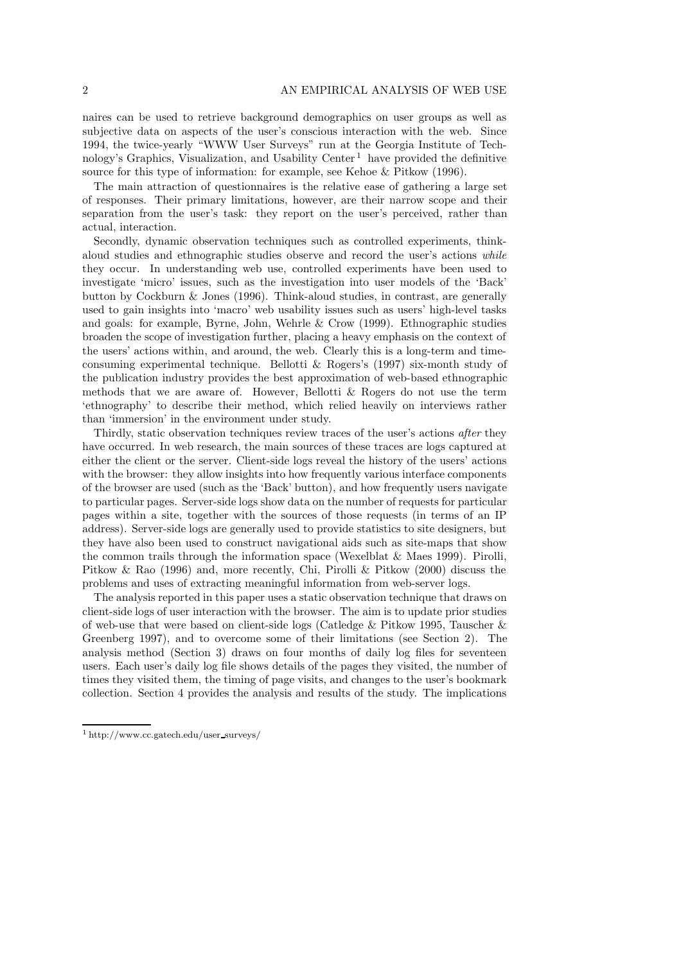naires can be used to retrieve background demographics on user groups as well as subjective data on aspects of the user's conscious interaction with the web. Since 1994, the twice-yearly "WWW User Surveys" run at the Georgia Institute of Technology's Graphics, Visualization, and Usability Center<sup>1</sup> have provided the definitive source for this type of information: for example, see Kehoe & Pitkow (1996).

The main attraction of questionnaires is the relative ease of gathering a large set of responses. Their primary limitations, however, are their narrow scope and their separation from the user's task: they report on the user's perceived, rather than actual, interaction.

Secondly, dynamic observation techniques such as controlled experiments, thinkaloud studies and ethnographic studies observe and record the user's actions *while* they occur. In understanding web use, controlled experiments have been used to investigate 'micro' issues, such as the investigation into user models of the 'Back' button by Cockburn & Jones (1996). Think-aloud studies, in contrast, are generally used to gain insights into 'macro' web usability issues such as users' high-level tasks and goals: for example, Byrne, John, Wehrle & Crow (1999). Ethnographic studies broaden the scope of investigation further, placing a heavy emphasis on the context of the users' actions within, and around, the web. Clearly this is a long-term and timeconsuming experimental technique. Bellotti & Rogers's (1997) six-month study of the publication industry provides the best approximation of web-based ethnographic methods that we are aware of. However, Bellotti & Rogers do not use the term 'ethnography' to describe their method, which relied heavily on interviews rather than 'immersion' in the environment under study.

Thirdly, static observation techniques review traces of the user's actions *after* they have occurred. In web research, the main sources of these traces are logs captured at either the client or the server. Client-side logs reveal the history of the users' actions with the browser: they allow insights into how frequently various interface components of the browser are used (such as the 'Back' button), and how frequently users navigate to particular pages. Server-side logs show data on the number of requests for particular pages within a site, together with the sources of those requests (in terms of an IP address). Server-side logs are generally used to provide statistics to site designers, but they have also been used to construct navigational aids such as site-maps that show the common trails through the information space (Wexelblat & Maes 1999). Pirolli, Pitkow & Rao (1996) and, more recently, Chi, Pirolli & Pitkow (2000) discuss the problems and uses of extracting meaningful information from web-server logs.

The analysis reported in this paper uses a static observation technique that draws on client-side logs of user interaction with the browser. The aim is to update prior studies of web-use that were based on client-side logs (Catledge & Pitkow 1995, Tauscher & Greenberg 1997), and to overcome some of their limitations (see Section 2). The analysis method (Section 3) draws on four months of daily log files for seventeen users. Each user's daily log file shows details of the pages they visited, the number of times they visited them, the timing of page visits, and changes to the user's bookmark collection. Section 4 provides the analysis and results of the study. The implications

<sup>1</sup> http://www.cc.gatech.edu/user surveys/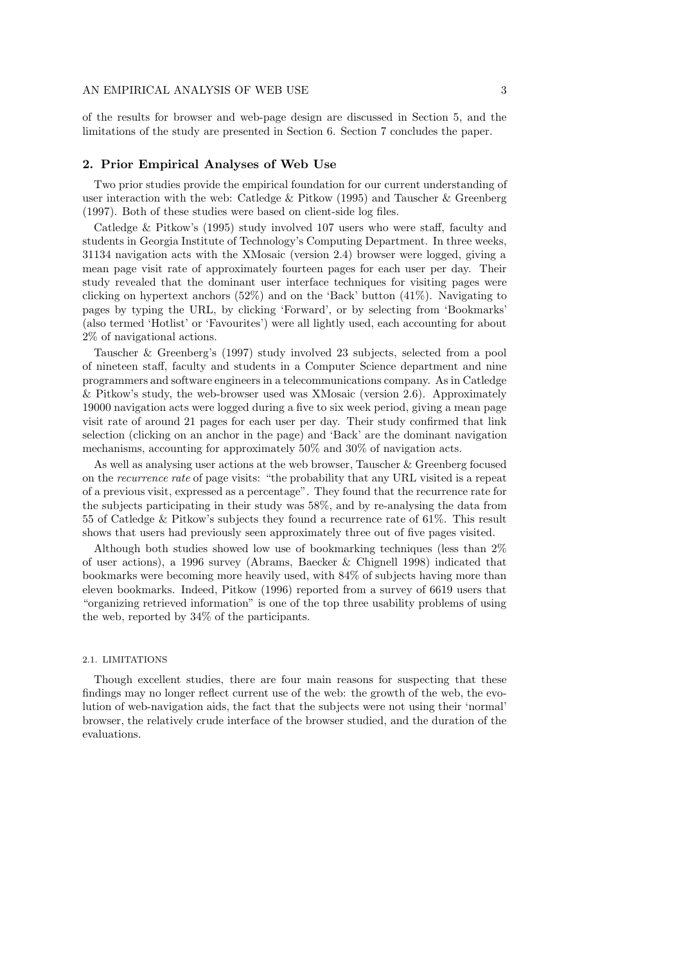of the results for browser and web-page design are discussed in Section 5, and the limitations of the study are presented in Section 6. Section 7 concludes the paper.

#### **2. Prior Empirical Analyses of Web Use**

Two prior studies provide the empirical foundation for our current understanding of user interaction with the web: Catledge & Pitkow (1995) and Tauscher & Greenberg (1997). Both of these studies were based on client-side log files.

Catledge & Pitkow's (1995) study involved 107 users who were staff, faculty and students in Georgia Institute of Technology's Computing Department. In three weeks, 31134 navigation acts with the XMosaic (version 2.4) browser were logged, giving a mean page visit rate of approximately fourteen pages for each user per day. Their study revealed that the dominant user interface techniques for visiting pages were clicking on hypertext anchors  $(52\%)$  and on the 'Back' button  $(41\%)$ . Navigating to pages by typing the URL, by clicking 'Forward', or by selecting from 'Bookmarks' (also termed 'Hotlist' or 'Favourites') were all lightly used, each accounting for about 2% of navigational actions.

Tauscher & Greenberg's (1997) study involved 23 subjects, selected from a pool of nineteen staff, faculty and students in a Computer Science department and nine programmers and software engineers in a telecommunications company. As in Catledge & Pitkow's study, the web-browser used was XMosaic (version 2.6). Approximately 19000 navigation acts were logged during a five to six week period, giving a mean page visit rate of around 21 pages for each user per day. Their study confirmed that link selection (clicking on an anchor in the page) and 'Back' are the dominant navigation mechanisms, accounting for approximately 50% and 30% of navigation acts.

As well as analysing user actions at the web browser, Tauscher & Greenberg focused on the *recurrence rate* of page visits: "the probability that any URL visited is a repeat of a previous visit, expressed as a percentage". They found that the recurrence rate for the subjects participating in their study was 58%, and by re-analysing the data from 55 of Catledge & Pitkow's subjects they found a recurrence rate of 61%. This result shows that users had previously seen approximately three out of five pages visited.

Although both studies showed low use of bookmarking techniques (less than 2% of user actions), a 1996 survey (Abrams, Baecker & Chignell 1998) indicated that bookmarks were becoming more heavily used, with 84% of subjects having more than eleven bookmarks. Indeed, Pitkow (1996) reported from a survey of 6619 users that "organizing retrieved information" is one of the top three usability problems of using the web, reported by 34% of the participants.

## 2.1. LIMITATIONS

Though excellent studies, there are four main reasons for suspecting that these findings may no longer reflect current use of the web: the growth of the web, the evolution of web-navigation aids, the fact that the subjects were not using their 'normal' browser, the relatively crude interface of the browser studied, and the duration of the evaluations.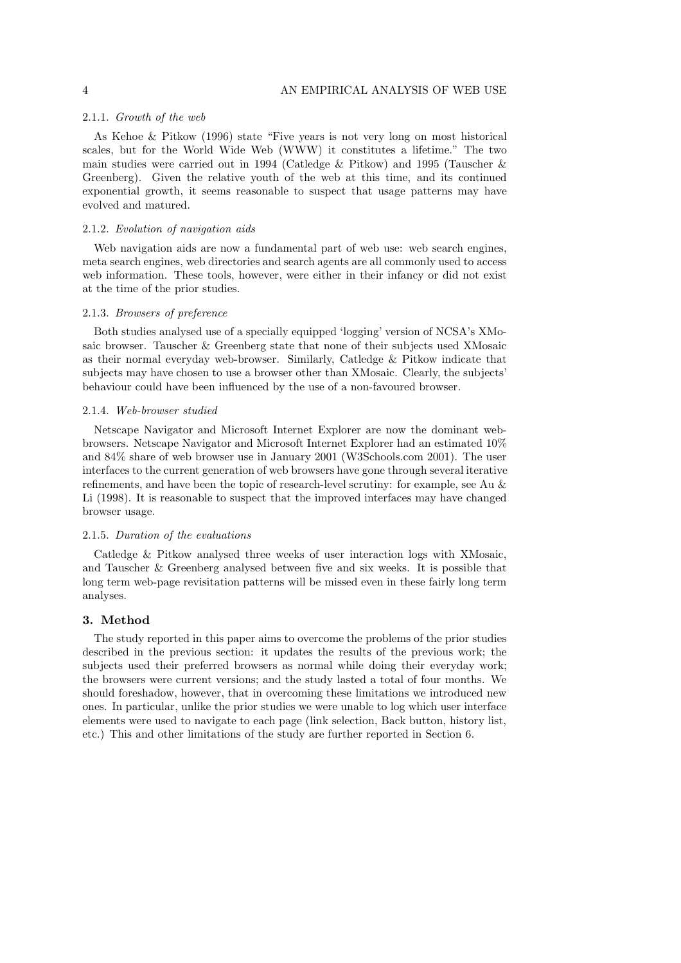## 2.1.1. *Growth of the web*

As Kehoe & Pitkow (1996) state "Five years is not very long on most historical scales, but for the World Wide Web (WWW) it constitutes a lifetime." The two main studies were carried out in 1994 (Catledge & Pitkow) and 1995 (Tauscher & Greenberg). Given the relative youth of the web at this time, and its continued exponential growth, it seems reasonable to suspect that usage patterns may have evolved and matured.

# 2.1.2. *Evolution of navigation aids*

Web navigation aids are now a fundamental part of web use: web search engines, meta search engines, web directories and search agents are all commonly used to access web information. These tools, however, were either in their infancy or did not exist at the time of the prior studies.

#### 2.1.3. *Browsers of preference*

Both studies analysed use of a specially equipped 'logging' version of NCSA's XMosaic browser. Tauscher & Greenberg state that none of their subjects used XMosaic as their normal everyday web-browser. Similarly, Catledge & Pitkow indicate that subjects may have chosen to use a browser other than XMosaic. Clearly, the subjects' behaviour could have been influenced by the use of a non-favoured browser.

#### 2.1.4. *Web-browser studied*

Netscape Navigator and Microsoft Internet Explorer are now the dominant webbrowsers. Netscape Navigator and Microsoft Internet Explorer had an estimated 10% and 84% share of web browser use in January 2001 (W3Schools.com 2001). The user interfaces to the current generation of web browsers have gone through several iterative refinements, and have been the topic of research-level scrutiny: for example, see Au & Li (1998). It is reasonable to suspect that the improved interfaces may have changed browser usage.

#### 2.1.5. *Duration of the evaluations*

Catledge & Pitkow analysed three weeks of user interaction logs with XMosaic, and Tauscher & Greenberg analysed between five and six weeks. It is possible that long term web-page revisitation patterns will be missed even in these fairly long term analyses.

# **3. Method**

The study reported in this paper aims to overcome the problems of the prior studies described in the previous section: it updates the results of the previous work; the subjects used their preferred browsers as normal while doing their everyday work; the browsers were current versions; and the study lasted a total of four months. We should foreshadow, however, that in overcoming these limitations we introduced new ones. In particular, unlike the prior studies we were unable to log which user interface elements were used to navigate to each page (link selection, Back button, history list, etc.) This and other limitations of the study are further reported in Section 6.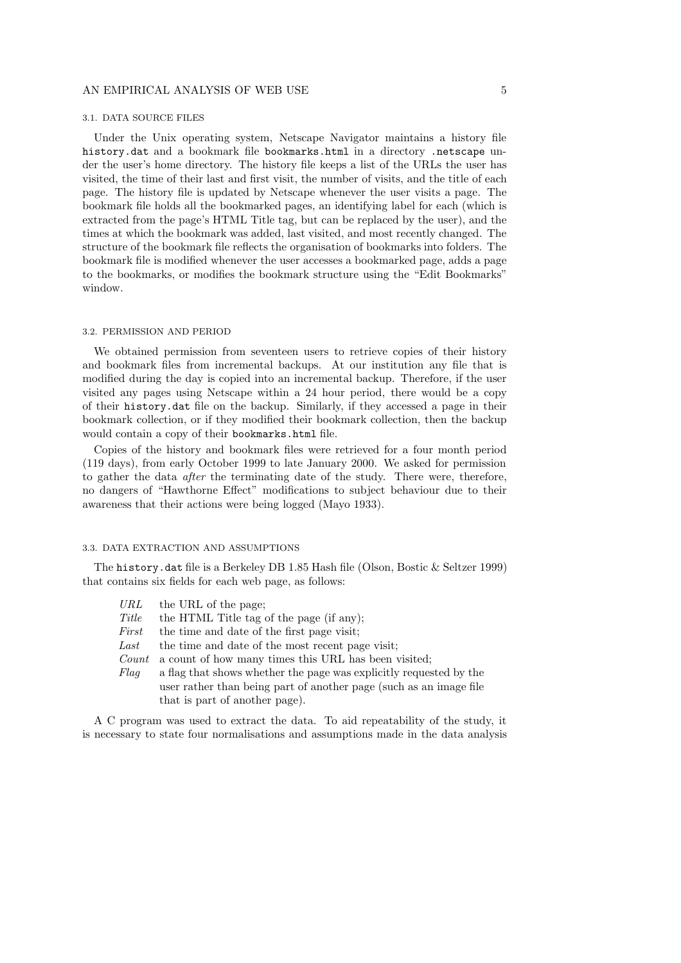#### 3.1. DATA SOURCE FILES

Under the Unix operating system, Netscape Navigator maintains a history file history.dat and a bookmark file bookmarks.html in a directory .netscape under the user's home directory. The history file keeps a list of the URLs the user has visited, the time of their last and first visit, the number of visits, and the title of each page. The history file is updated by Netscape whenever the user visits a page. The bookmark file holds all the bookmarked pages, an identifying label for each (which is extracted from the page's HTML Title tag, but can be replaced by the user), and the times at which the bookmark was added, last visited, and most recently changed. The structure of the bookmark file reflects the organisation of bookmarks into folders. The bookmark file is modified whenever the user accesses a bookmarked page, adds a page to the bookmarks, or modifies the bookmark structure using the "Edit Bookmarks" window.

## 3.2. PERMISSION AND PERIOD

We obtained permission from seventeen users to retrieve copies of their history and bookmark files from incremental backups. At our institution any file that is modified during the day is copied into an incremental backup. Therefore, if the user visited any pages using Netscape within a 24 hour period, there would be a copy of their history.dat file on the backup. Similarly, if they accessed a page in their bookmark collection, or if they modified their bookmark collection, then the backup would contain a copy of their bookmarks.html file.

Copies of the history and bookmark files were retrieved for a four month period (119 days), from early October 1999 to late January 2000. We asked for permission to gather the data *after* the terminating date of the study. There were, therefore, no dangers of "Hawthorne Effect" modifications to subject behaviour due to their awareness that their actions were being logged (Mayo 1933).

#### 3.3. DATA EXTRACTION AND ASSUMPTIONS

The history.dat file is a Berkeley DB 1.85 Hash file (Olson, Bostic & Seltzer 1999) that contains six fields for each web page, as follows:

- *URL* the URL of the page;
- *Title* the HTML Title tag of the page (if any);
- *First* the time and date of the first page visit;
- Last the time and date of the most recent page visit;
- *Count* a count of how many times this URL has been visited;
- *Flag* a flag that shows whether the page was explicitly requested by the user rather than being part of another page (such as an image file that is part of another page).

A C program was used to extract the data. To aid repeatability of the study, it is necessary to state four normalisations and assumptions made in the data analysis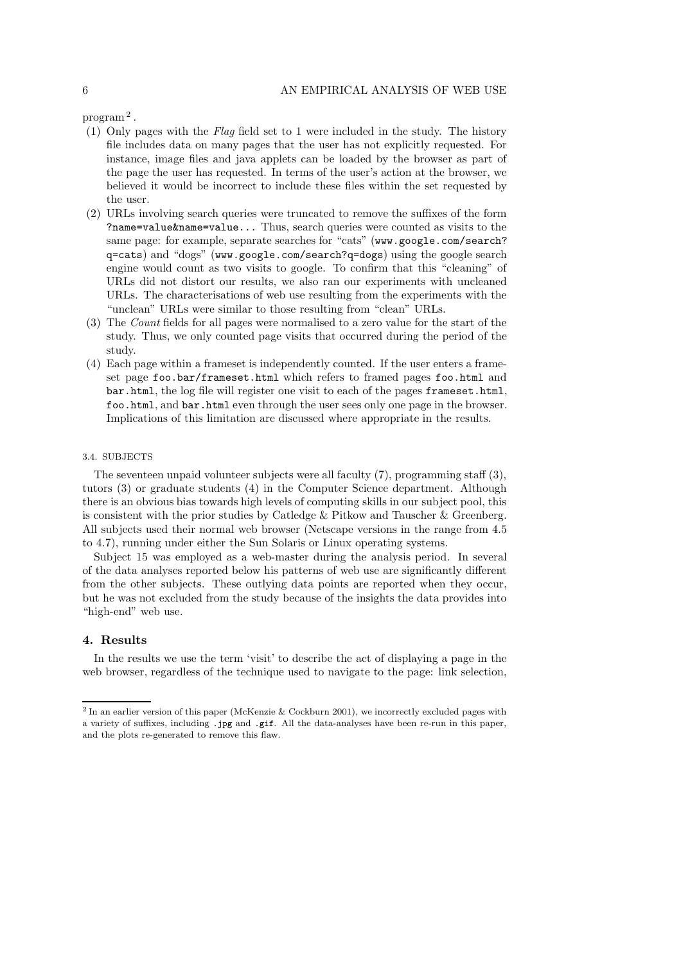program <sup>2</sup> .

- (1) Only pages with the *Flag* field set to 1 were included in the study. The history file includes data on many pages that the user has not explicitly requested. For instance, image files and java applets can be loaded by the browser as part of the page the user has requested. In terms of the user's action at the browser, we believed it would be incorrect to include these files within the set requested by the user.
- (2) URLs involving search queries were truncated to remove the suffixes of the form ?name=value&name=value... Thus, search queries were counted as visits to the same page: for example, separate searches for "cats" (www.google.com/search? q=cats) and "dogs" (www.google.com/search?q=dogs) using the google search engine would count as two visits to google. To confirm that this "cleaning" of URLs did not distort our results, we also ran our experiments with uncleaned URLs. The characterisations of web use resulting from the experiments with the "unclean" URLs were similar to those resulting from "clean" URLs.
- (3) The *Count* fields for all pages were normalised to a zero value for the start of the study. Thus, we only counted page visits that occurred during the period of the study.
- (4) Each page within a frameset is independently counted. If the user enters a frameset page foo.bar/frameset.html which refers to framed pages foo.html and bar.html, the log file will register one visit to each of the pages frameset.html, foo.html, and bar.html even through the user sees only one page in the browser. Implications of this limitation are discussed where appropriate in the results.

# 3.4. SUBJECTS

The seventeen unpaid volunteer subjects were all faculty (7), programming staff (3), tutors (3) or graduate students (4) in the Computer Science department. Although there is an obvious bias towards high levels of computing skills in our subject pool, this is consistent with the prior studies by Catledge & Pitkow and Tauscher & Greenberg. All subjects used their normal web browser (Netscape versions in the range from 4.5 to 4.7), running under either the Sun Solaris or Linux operating systems.

Subject 15 was employed as a web-master during the analysis period. In several of the data analyses reported below his patterns of web use are significantly different from the other subjects. These outlying data points are reported when they occur, but he was not excluded from the study because of the insights the data provides into "high-end" web use.

## **4. Results**

In the results we use the term 'visit' to describe the act of displaying a page in the web browser, regardless of the technique used to navigate to the page: link selection,

<sup>&</sup>lt;sup>2</sup> In an earlier version of this paper (McKenzie & Cockburn 2001), we incorrectly excluded pages with a variety of suffixes, including .jpg and .gif. All the data-analyses have been re-run in this paper, and the plots re-generated to remove this flaw.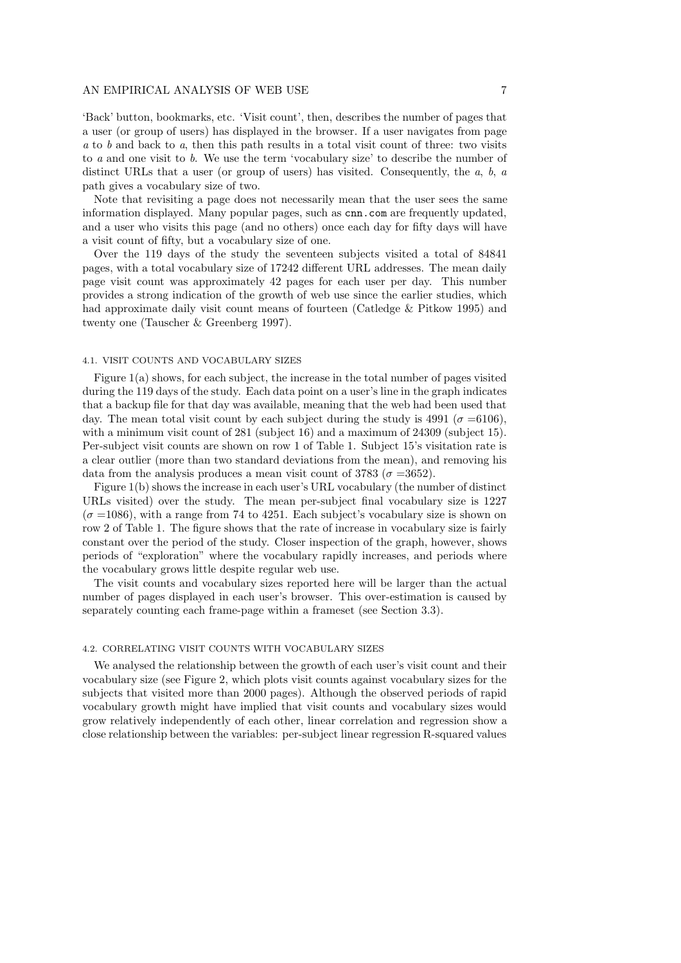'Back' button, bookmarks, etc. 'Visit count', then, describes the number of pages that a user (or group of users) has displayed in the browser. If a user navigates from page *a* to *b* and back to *a*, then this path results in a total visit count of three: two visits to *a* and one visit to *b*. We use the term 'vocabulary size' to describe the number of distinct URLs that a user (or group of users) has visited. Consequently, the *a*, *b*, *a* path gives a vocabulary size of two.

Note that revisiting a page does not necessarily mean that the user sees the same information displayed. Many popular pages, such as cnn.com are frequently updated, and a user who visits this page (and no others) once each day for fifty days will have a visit count of fifty, but a vocabulary size of one.

Over the 119 days of the study the seventeen subjects visited a total of 84841 pages, with a total vocabulary size of 17242 different URL addresses. The mean daily page visit count was approximately 42 pages for each user per day. This number provides a strong indication of the growth of web use since the earlier studies, which had approximate daily visit count means of fourteen (Catledge & Pitkow 1995) and twenty one (Tauscher & Greenberg 1997).

## 4.1. VISIT COUNTS AND VOCABULARY SIZES

Figure 1(a) shows, for each subject, the increase in the total number of pages visited during the 119 days of the study. Each data point on a user's line in the graph indicates that a backup file for that day was available, meaning that the web had been used that day. The mean total visit count by each subject during the study is 4991 ( $\sigma = 6106$ ), with a minimum visit count of 281 (subject 16) and a maximum of 24309 (subject 15). Per-subject visit counts are shown on row 1 of Table 1. Subject 15's visitation rate is a clear outlier (more than two standard deviations from the mean), and removing his data from the analysis produces a mean visit count of 3783 ( $\sigma = 3652$ ).

Figure 1(b) shows the increase in each user's URL vocabulary (the number of distinct URLs visited) over the study. The mean per-subject final vocabulary size is 1227  $(\sigma = 1086)$ , with a range from 74 to 4251. Each subject's vocabulary size is shown on row 2 of Table 1. The figure shows that the rate of increase in vocabulary size is fairly constant over the period of the study. Closer inspection of the graph, however, shows periods of "exploration" where the vocabulary rapidly increases, and periods where the vocabulary grows little despite regular web use.

The visit counts and vocabulary sizes reported here will be larger than the actual number of pages displayed in each user's browser. This over-estimation is caused by separately counting each frame-page within a frameset (see Section 3.3).

#### 4.2. CORRELATING VISIT COUNTS WITH VOCABULARY SIZES

We analysed the relationship between the growth of each user's visit count and their vocabulary size (see Figure 2, which plots visit counts against vocabulary sizes for the subjects that visited more than 2000 pages). Although the observed periods of rapid vocabulary growth might have implied that visit counts and vocabulary sizes would grow relatively independently of each other, linear correlation and regression show a close relationship between the variables: per-subject linear regression R-squared values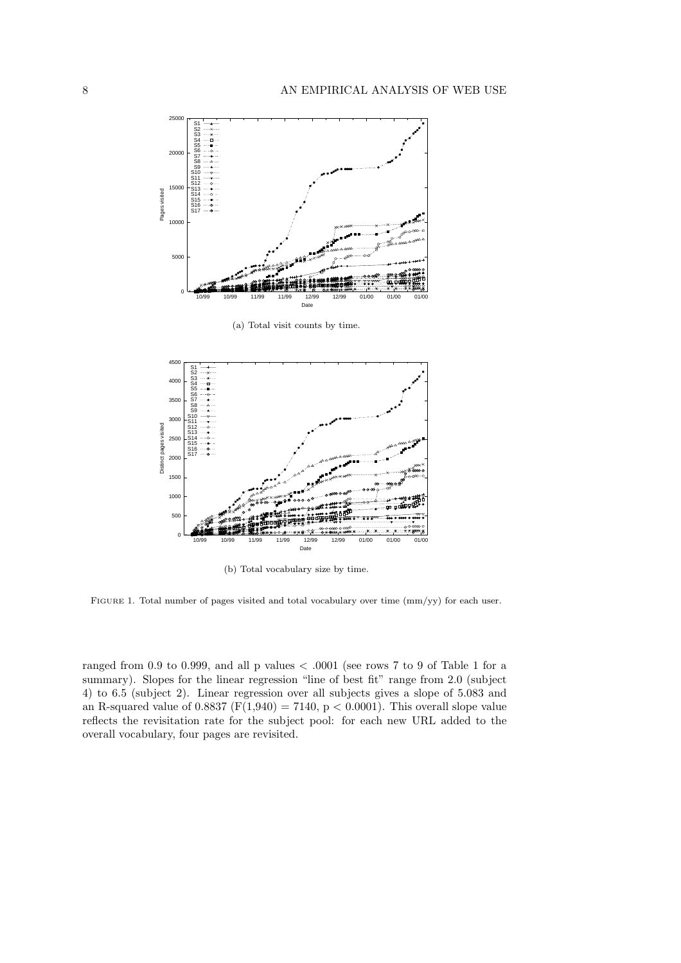

(a) Total visit counts by time.



(b) Total vocabulary size by time.

FIGURE 1. Total number of pages visited and total vocabulary over time  $\frac{\text{mm}}{\text{y}}$  for each user.

ranged from 0.9 to 0.999, and all p values  $< .0001$  (see rows 7 to 9 of Table 1 for a summary). Slopes for the linear regression "line of best fit" range from 2.0 (subject 4) to 6.5 (subject 2). Linear regression over all subjects gives a slope of 5.083 and an R-squared value of  $0.8837$  (F(1,940) = 7140, p < 0.0001). This overall slope value reflects the revisitation rate for the subject pool: for each new URL added to the overall vocabulary, four pages are revisited.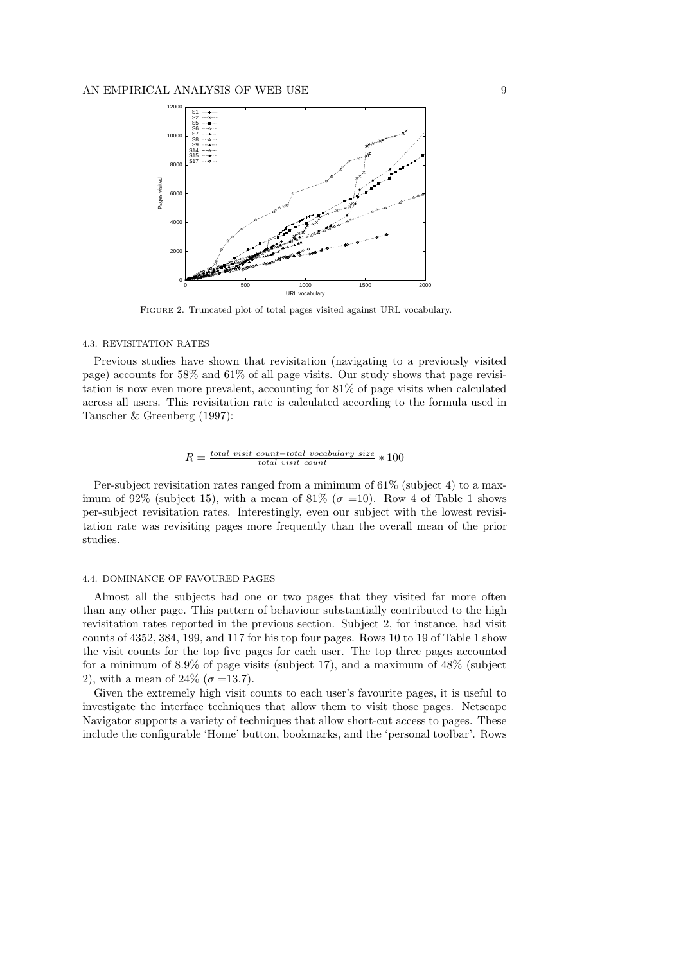

FIGURE 2. Truncated plot of total pages visited against URL vocabulary.

#### 4.3. REVISITATION RATES

Previous studies have shown that revisitation (navigating to a previously visited page) accounts for 58% and 61% of all page visits. Our study shows that page revisitation is now even more prevalent, accounting for 81% of page visits when calculated across all users. This revisitation rate is calculated according to the formula used in Tauscher & Greenberg (1997):

$$
R = \frac{total\ visit\ count - total\ vocabulary\ size}{total\ visit\ count} * 100
$$

Per-subject revisitation rates ranged from a minimum of  $61\%$  (subject 4) to a maximum of 92% (subject 15), with a mean of 81% ( $\sigma$  =10). Row 4 of Table 1 shows per-subject revisitation rates. Interestingly, even our subject with the lowest revisitation rate was revisiting pages more frequently than the overall mean of the prior studies.

#### 4.4. DOMINANCE OF FAVOURED PAGES

Almost all the subjects had one or two pages that they visited far more often than any other page. This pattern of behaviour substantially contributed to the high revisitation rates reported in the previous section. Subject 2, for instance, had visit counts of 4352, 384, 199, and 117 for his top four pages. Rows 10 to 19 of Table 1 show the visit counts for the top five pages for each user. The top three pages accounted for a minimum of 8.9% of page visits (subject 17), and a maximum of 48% (subject 2), with a mean of  $24\%$  ( $\sigma = 13.7$ ).

Given the extremely high visit counts to each user's favourite pages, it is useful to investigate the interface techniques that allow them to visit those pages. Netscape Navigator supports a variety of techniques that allow short-cut access to pages. These include the configurable 'Home' button, bookmarks, and the 'personal toolbar'. Rows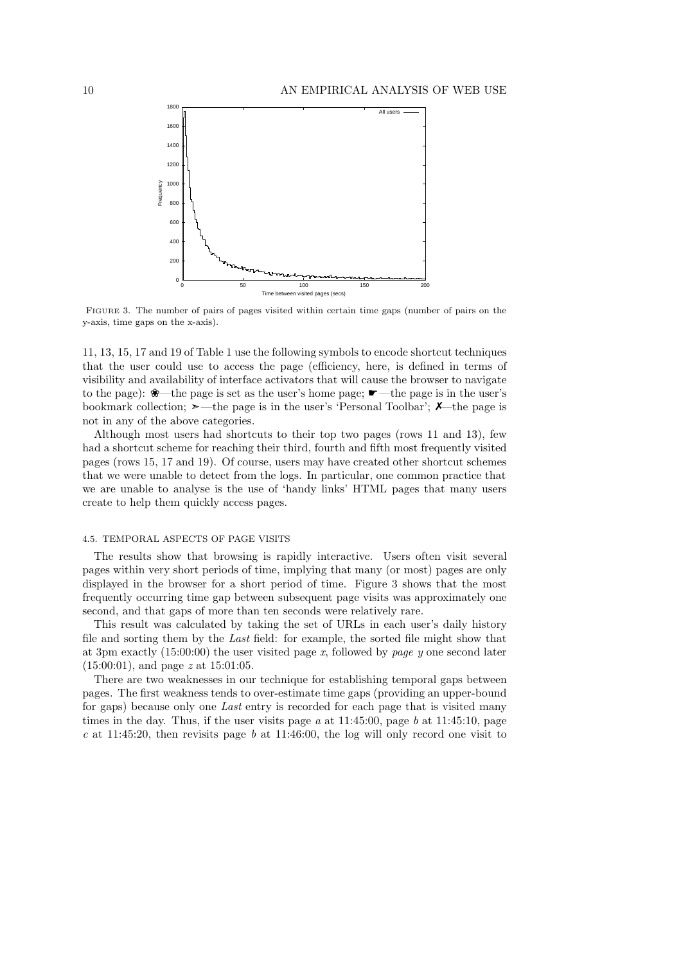

FIGURE 3. The number of pairs of pages visited within certain time gaps (number of pairs on the y-axis, time gaps on the x-axis).

11, 13, 15, 17 and 19 of Table 1 use the following symbols to encode shortcut techniques that the user could use to access the page (efficiency, here, is defined in terms of visibility and availability of interface activators that will cause the browser to navigate to the page): ❀—the page is set as the user's home page; ☛—the page is in the user's bookmark collection;  $\geq$ —the page is in the user's 'Personal Toolbar';  $\chi$ —the page is not in any of the above categories.

Although most users had shortcuts to their top two pages (rows 11 and 13), few had a shortcut scheme for reaching their third, fourth and fifth most frequently visited pages (rows 15, 17 and 19). Of course, users may have created other shortcut schemes that we were unable to detect from the logs. In particular, one common practice that we are unable to analyse is the use of 'handy links' HTML pages that many users create to help them quickly access pages.

#### 4.5. TEMPORAL ASPECTS OF PAGE VISITS

The results show that browsing is rapidly interactive. Users often visit several pages within very short periods of time, implying that many (or most) pages are only displayed in the browser for a short period of time. Figure 3 shows that the most frequently occurring time gap between subsequent page visits was approximately one second, and that gaps of more than ten seconds were relatively rare.

This result was calculated by taking the set of URLs in each user's daily history file and sorting them by the *Last* field: for example, the sorted file might show that at 3pm exactly (15:00:00) the user visited page *x*, followed by *page y* one second later (15:00:01), and page *z* at 15:01:05.

There are two weaknesses in our technique for establishing temporal gaps between pages. The first weakness tends to over-estimate time gaps (providing an upper-bound for gaps) because only one *Last* entry is recorded for each page that is visited many times in the day. Thus, if the user visits page *a* at 11:45:00, page *b* at 11:45:10, page *c* at 11:45:20, then revisits page *b* at 11:46:00, the log will only record one visit to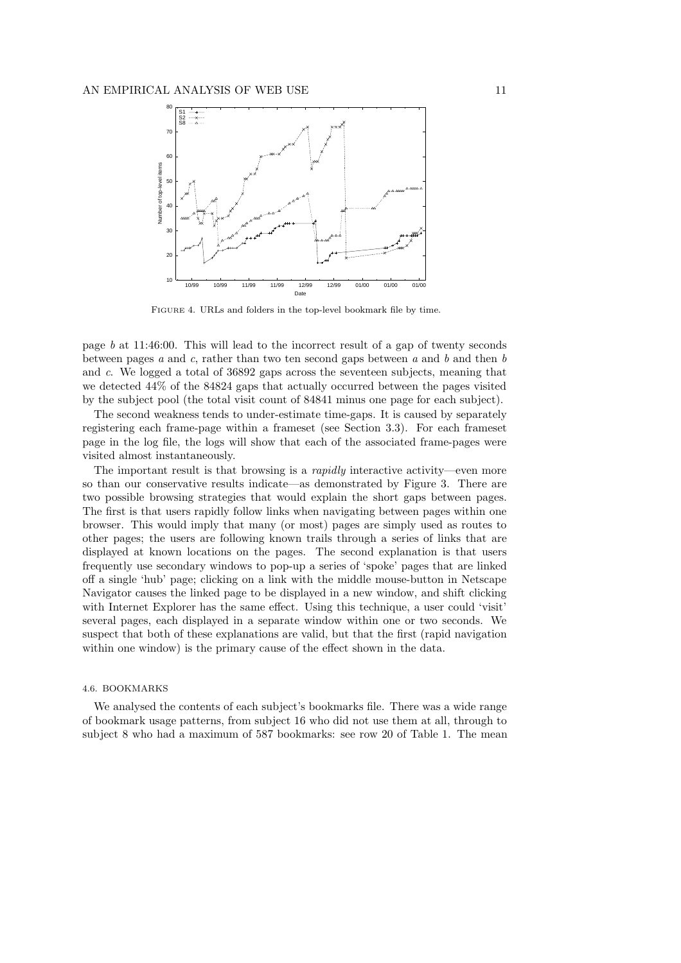

FIGURE 4. URLs and folders in the top-level bookmark file by time.

page *b* at 11:46:00. This will lead to the incorrect result of a gap of twenty seconds between pages *a* and *c*, rather than two ten second gaps between *a* and *b* and then *b* and *c*. We logged a total of 36892 gaps across the seventeen subjects, meaning that we detected 44% of the 84824 gaps that actually occurred between the pages visited by the subject pool (the total visit count of 84841 minus one page for each subject).

The second weakness tends to under-estimate time-gaps. It is caused by separately registering each frame-page within a frameset (see Section 3.3). For each frameset page in the log file, the logs will show that each of the associated frame-pages were visited almost instantaneously.

The important result is that browsing is a *rapidly* interactive activity—even more so than our conservative results indicate—as demonstrated by Figure 3. There are two possible browsing strategies that would explain the short gaps between pages. The first is that users rapidly follow links when navigating between pages within one browser. This would imply that many (or most) pages are simply used as routes to other pages; the users are following known trails through a series of links that are displayed at known locations on the pages. The second explanation is that users frequently use secondary windows to pop-up a series of 'spoke' pages that are linked off a single 'hub' page; clicking on a link with the middle mouse-button in Netscape Navigator causes the linked page to be displayed in a new window, and shift clicking with Internet Explorer has the same effect. Using this technique, a user could 'visit' several pages, each displayed in a separate window within one or two seconds. We suspect that both of these explanations are valid, but that the first (rapid navigation within one window) is the primary cause of the effect shown in the data.

#### 4.6. BOOKMARKS

We analysed the contents of each subject's bookmarks file. There was a wide range of bookmark usage patterns, from subject 16 who did not use them at all, through to subject 8 who had a maximum of 587 bookmarks: see row 20 of Table 1. The mean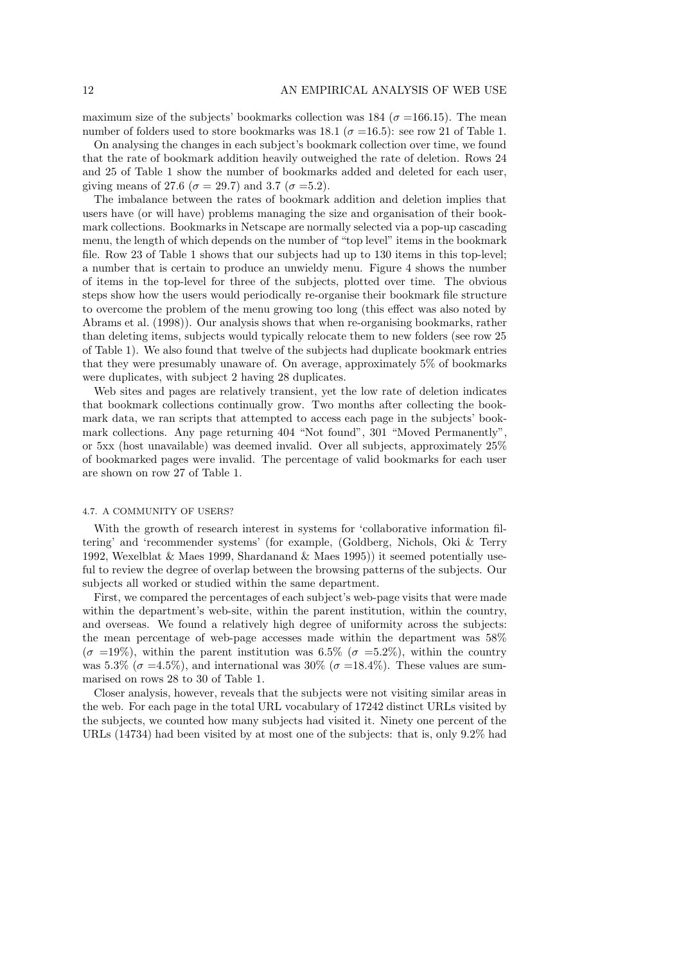maximum size of the subjects' bookmarks collection was 184 ( $\sigma$  =166.15). The mean number of folders used to store bookmarks was 18.1 ( $\sigma$  =16.5): see row 21 of Table 1.

On analysing the changes in each subject's bookmark collection over time, we found that the rate of bookmark addition heavily outweighed the rate of deletion. Rows 24 and 25 of Table 1 show the number of bookmarks added and deleted for each user, giving means of 27.6 ( $\sigma = 29.7$ ) and 3.7 ( $\sigma = 5.2$ ).

The imbalance between the rates of bookmark addition and deletion implies that users have (or will have) problems managing the size and organisation of their bookmark collections. Bookmarks in Netscape are normally selected via a pop-up cascading menu, the length of which depends on the number of "top level" items in the bookmark file. Row 23 of Table 1 shows that our subjects had up to 130 items in this top-level; a number that is certain to produce an unwieldy menu. Figure 4 shows the number of items in the top-level for three of the subjects, plotted over time. The obvious steps show how the users would periodically re-organise their bookmark file structure to overcome the problem of the menu growing too long (this effect was also noted by Abrams et al. (1998)). Our analysis shows that when re-organising bookmarks, rather than deleting items, subjects would typically relocate them to new folders (see row 25 of Table 1). We also found that twelve of the subjects had duplicate bookmark entries that they were presumably unaware of. On average, approximately 5% of bookmarks were duplicates, with subject 2 having 28 duplicates.

Web sites and pages are relatively transient, yet the low rate of deletion indicates that bookmark collections continually grow. Two months after collecting the bookmark data, we ran scripts that attempted to access each page in the subjects' bookmark collections. Any page returning 404 "Not found", 301 "Moved Permanently", or 5xx (host unavailable) was deemed invalid. Over all subjects, approximately 25% of bookmarked pages were invalid. The percentage of valid bookmarks for each user are shown on row 27 of Table 1.

#### 4.7. A COMMUNITY OF USERS?

With the growth of research interest in systems for 'collaborative information filtering' and 'recommender systems' (for example, (Goldberg, Nichols, Oki & Terry 1992, Wexelblat & Maes 1999, Shardanand & Maes 1995)) it seemed potentially useful to review the degree of overlap between the browsing patterns of the subjects. Our subjects all worked or studied within the same department.

First, we compared the percentages of each subject's web-page visits that were made within the department's web-site, within the parent institution, within the country, and overseas. We found a relatively high degree of uniformity across the subjects: the mean percentage of web-page accesses made within the department was 58%  $(\sigma =19\%)$ , within the parent institution was 6.5% ( $\sigma =5.2\%$ ), within the country was 5.3% ( $\sigma$  =4.5%), and international was 30% ( $\sigma$  =18.4%). These values are summarised on rows 28 to 30 of Table 1.

Closer analysis, however, reveals that the subjects were not visiting similar areas in the web. For each page in the total URL vocabulary of 17242 distinct URLs visited by the subjects, we counted how many subjects had visited it. Ninety one percent of the URLs (14734) had been visited by at most one of the subjects: that is, only 9.2% had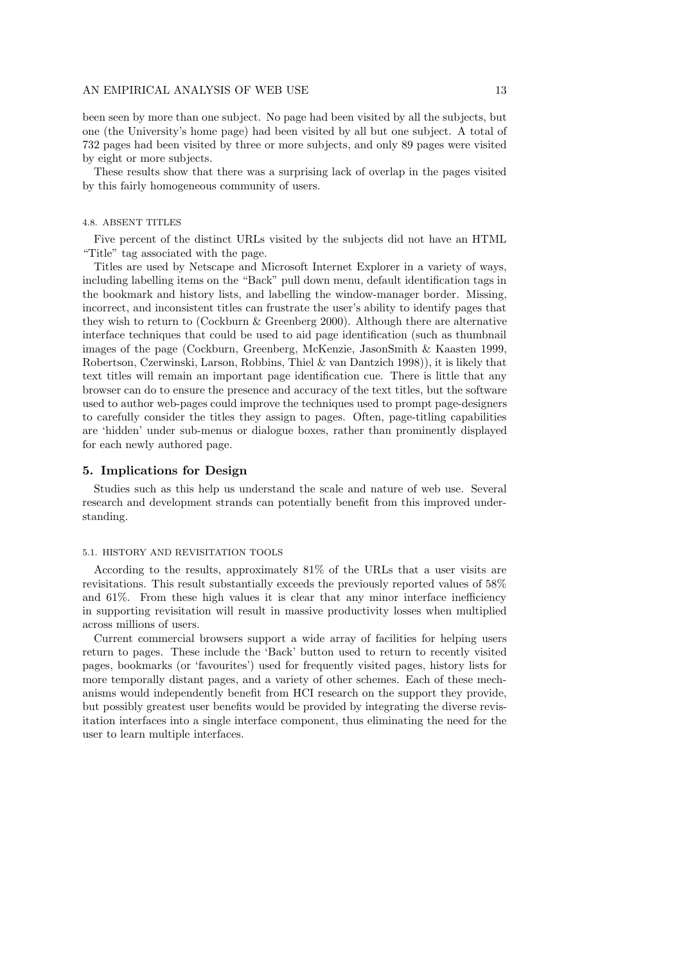been seen by more than one subject. No page had been visited by all the subjects, but one (the University's home page) had been visited by all but one subject. A total of 732 pages had been visited by three or more subjects, and only 89 pages were visited by eight or more subjects.

These results show that there was a surprising lack of overlap in the pages visited by this fairly homogeneous community of users.

#### 4.8. ABSENT TITLES

Five percent of the distinct URLs visited by the subjects did not have an HTML "Title" tag associated with the page.

Titles are used by Netscape and Microsoft Internet Explorer in a variety of ways, including labelling items on the "Back" pull down menu, default identification tags in the bookmark and history lists, and labelling the window-manager border. Missing, incorrect, and inconsistent titles can frustrate the user's ability to identify pages that they wish to return to (Cockburn  $&$  Greenberg 2000). Although there are alternative interface techniques that could be used to aid page identification (such as thumbnail images of the page (Cockburn, Greenberg, McKenzie, JasonSmith & Kaasten 1999, Robertson, Czerwinski, Larson, Robbins, Thiel & van Dantzich 1998)), it is likely that text titles will remain an important page identification cue. There is little that any browser can do to ensure the presence and accuracy of the text titles, but the software used to author web-pages could improve the techniques used to prompt page-designers to carefully consider the titles they assign to pages. Often, page-titling capabilities are 'hidden' under sub-menus or dialogue boxes, rather than prominently displayed for each newly authored page.

# **5. Implications for Design**

Studies such as this help us understand the scale and nature of web use. Several research and development strands can potentially benefit from this improved understanding.

#### 5.1. HISTORY AND REVISITATION TOOLS

According to the results, approximately 81% of the URLs that a user visits are revisitations. This result substantially exceeds the previously reported values of 58% and 61%. From these high values it is clear that any minor interface inefficiency in supporting revisitation will result in massive productivity losses when multiplied across millions of users.

Current commercial browsers support a wide array of facilities for helping users return to pages. These include the 'Back' button used to return to recently visited pages, bookmarks (or 'favourites') used for frequently visited pages, history lists for more temporally distant pages, and a variety of other schemes. Each of these mechanisms would independently benefit from HCI research on the support they provide, but possibly greatest user benefits would be provided by integrating the diverse revisitation interfaces into a single interface component, thus eliminating the need for the user to learn multiple interfaces.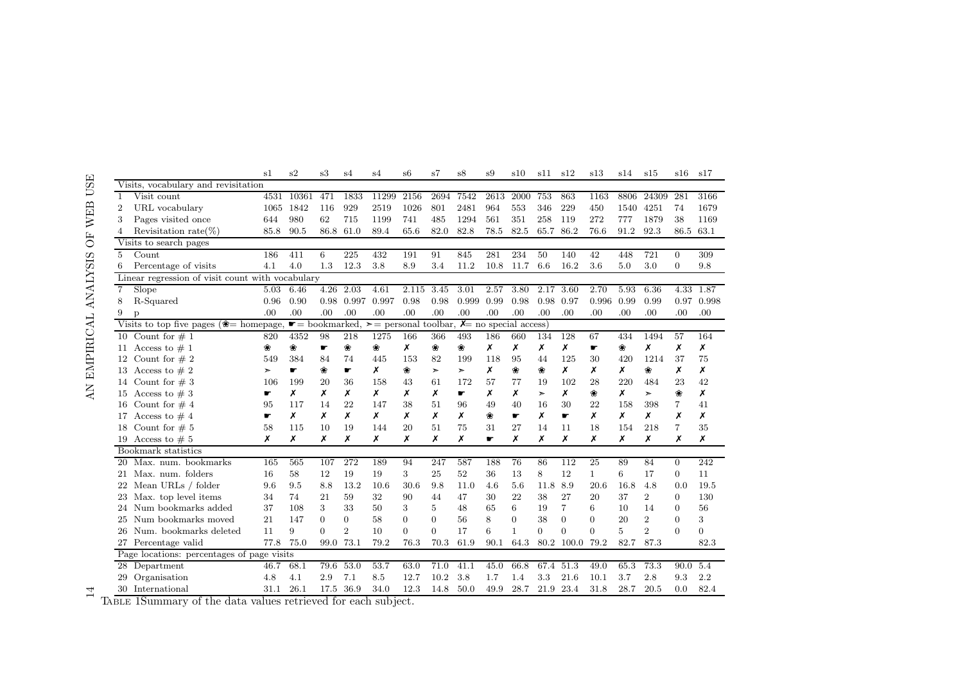|                |                                                        | s1                                                                              | s2    | s3             | s4                          | s4    | s6       | s7       | s8    | s9   | s10          | s11      | s12            | s13          | s14            | s15            | s16            | s17            |
|----------------|--------------------------------------------------------|---------------------------------------------------------------------------------|-------|----------------|-----------------------------|-------|----------|----------|-------|------|--------------|----------|----------------|--------------|----------------|----------------|----------------|----------------|
|                | Visits, vocabulary and revisitation                    |                                                                                 |       |                |                             |       |          |          |       |      |              |          |                |              |                |                |                |                |
| $\mathbf{1}$   | Visit count                                            | 4531                                                                            | 10361 | 471            | 1833                        | 11299 | 2156     | 2694     | 7542  | 2613 | 2000         | 753      | 863            | 1163         | 8806           | 24309          | 281            | 3166           |
| $\overline{2}$ | URL vocabulary                                         | 1065                                                                            | 1842  | 116            | 929                         | 2519  | 1026     | 801      | 2481  | 964  | 553          | 346      | 229            | 450          | 1540           | 4251           | 74             | 1679           |
| 3              | Pages visited once                                     | 644                                                                             | 980   | 62             | 715                         | 1199  | 741      | 485      | 1294  | 561  | 351          | 258      | 119            | 272          | 777            | 1879           | 38             | 1169           |
| 4              | Revisitation rate $(\%)$                               | 85.8                                                                            | 90.5  | 86.8           | 61.0                        | 89.4  | 65.6     | 82.0     | 82.8  | 78.5 | 82.5         | 65.7     | 86.2           | 76.6         | 91.2           | 92.3           | 86.5           | 63.1           |
|                | Visits to search pages                                 |                                                                                 |       |                |                             |       |          |          |       |      |              |          |                |              |                |                |                |                |
| 5              | Count                                                  | 186                                                                             | 411   | 6              | 225                         | 432   | 191      | 91       | 845   | 281  | 234          | 50       | 140            | 42           | 448            | 721            | $\overline{0}$ | 309            |
| 6              | Percentage of visits                                   | 4.1                                                                             | 4.0   | 1.3            | 12.3                        | 3.8   | 8.9      | 3.4      | 11.2  | 10.8 | 11.7         | 6.6      | 16.2           | 3.6          | 5.0            | 3.0            | $\overline{0}$ | 9.8            |
|                | Linear regression of visit count with vocabulary       |                                                                                 |       |                |                             |       |          |          |       |      |              |          |                |              |                |                |                |                |
| $\overline{7}$ | Slope                                                  | 5.03                                                                            | 6.46  | 4.26           | 2.03                        | 4.61  | 2.115    | 3.45     | 3.01  | 2.57 | 3.80         | 2.17     | 3.60           | 2.70         | 5.93           | 6.36           | 4.33           | 1.87           |
| 8              | R-Squared                                              | 0.96                                                                            | 0.90  | 0.98           | 0.997                       | 0.997 | 0.98     | 0.98     | 0.999 | 0.99 | 0.98         | 0.98     | 0.97           | 0.996        | 0.99           | 0.99           | 0.97           | 0.998          |
| 9              |                                                        | .00                                                                             | .00   | .00            | .00                         | .00   | .00      | .00      | .00   | .00  | .00          | .00      | .00            | .00          | .00            | .00            | .00            | .00            |
|                | Visits to top five pages ( $\textcircled{=}$ homepage, | $\geq$ personal toolbar, $\chi$ = no special access)<br>$\bullet =$ bookmarked, |       |                |                             |       |          |          |       |      |              |          |                |              |                |                |                |                |
|                | 10 Count for $# 1$                                     | 820                                                                             | 4352  | 98             | 218                         | 1275  | 166      | 366      | 493   | 186  | 660          | 134      | 128            | 67           | 434            | 1494           | 57             | 164            |
|                | 11 Access to $\# 1$                                    | ₩                                                                               | 器     | ÷              | 器                           | ₩     | x        | ₩        | 器     | x    | Х            | x        | x              | ÷            | ₩              | Х              | x              | Х              |
|                | 12 Count for $# 2$                                     | 549                                                                             | 384   | 84             | 74                          | 445   | 153      | 82       | 199   | 118  | 95           | 44       | 125            | 30           | 420            | 1214           | 37             | 75             |
|                | 13 Access to $\# 2$                                    | ➤                                                                               | F     | 發              | Æ                           | Х     | ₩        | $\geq$   | ➤     | x    | ₩            | 器        | x              | Х            | х              | ₩              | x              | x              |
|                | 14 Count for $# 3$                                     | 106                                                                             | 199   | 20             | 36                          | 158   | 43       | 61       | 172   | 57   | 77           | 19       | 102            | 28           | 220            | 484            | 23             | 42             |
|                | 15 Access to $# 3$                                     | ÷                                                                               | Х     | Х              | Х                           | Х     | Х        | Х        | ÷     | x    | Х            | ➤        | Х              | ₩            | Х              | $\geq$         | ₩              | x              |
|                | 16 Count for $#4$                                      | 95                                                                              | 117   | 14             | 22                          | 147   | 38       | 51       | 96    | 49   | 40           | 16       | 30             | 22           | 158            | 398            | $\overline{7}$ | 41             |
|                | 17 Access to $\#$ 4                                    | ÷                                                                               | x     | Х              | Х                           | Х     | Х        | Х        | Х     | 黍    | ÷            | Х        | ¢              | x            | Х              | Х              | Х              | х              |
|                | 18 Count for $# 5$                                     | 58                                                                              | 115   | 10             | 19                          | 144   | 20       | 51       | 75    | 31   | 27           | 14       | 11             | 18           | 154            | 218            | $\overline{7}$ | 35             |
|                | 19 Access to $# 5$                                     | Х                                                                               | Х     | Х              | Х                           | Х     | Х        | Х        | Х     | ÷    | Х            | Х        | Х              | Х            | Х              | Х              | Х              | Х              |
|                | Bookmark statistics                                    |                                                                                 |       |                |                             |       |          |          |       |      |              |          |                |              |                |                |                |                |
|                | 20 Max. num. bookmarks                                 | 165                                                                             | 565   | 107            | 272                         | 189   | 94       | 247      | 587   | 188  | 76           | 86       | 112            | 25           | 89             | 84             | $\overline{0}$ | 242            |
|                | 21 Max. num. folders                                   | 16                                                                              | 58    | 12             | 19                          | 19    | 3        | 25       | 52    | 36   | 13           | 8        | 12             | $\mathbf{1}$ | 6              | 17             | $\overline{0}$ | 11             |
|                | 22 Mean URLs / folder                                  | 9.6                                                                             | 9.5   | 8.8            | 13.2                        | 10.6  | 30.6     | 9.8      | 11.0  | 4.6  | 5.6          | 11.8     | 8.9            | 20.6         | 16.8           | 4.8            | 0.0            | 19.5           |
|                | 23 Max. top level items                                | 34                                                                              | 74    | 21             | 59                          | 32    | 90       | 44       | 47    | 30   | 22           | 38       | 27             | 20           | 37             | $\overline{2}$ | $\Omega$       | 130            |
|                | 24 Num bookmarks added                                 | 37                                                                              | 108   | 3              | 33                          | 50    | 3        | 5        | 48    | 65   | 6            | 19       | $\overline{7}$ | 6            | 10             | 14             | $\Omega$       | 56             |
|                | 25 Num bookmarks moved                                 | 21                                                                              | 147   | $\overline{0}$ | $\Omega$                    | 58    | $\Omega$ | $\Omega$ | 56    | 8    | $\Omega$     | 38       | $\Omega$       | $\Omega$     | 20             | $\overline{2}$ | $\Omega$       | 3              |
|                | 26 Num. bookmarks deleted                              | 11                                                                              | 9     | $\Omega$       | $\mathcal{D}_{\mathcal{L}}$ | 10    | $\Omega$ | $\Omega$ | 17    | 6    | $\mathbf{1}$ | $\Omega$ | $\Omega$       | $\Omega$     | $\overline{5}$ | $\overline{2}$ | $\Omega$       | $\overline{0}$ |
|                | 27 Percentage valid                                    | 77.8                                                                            | 75.0  | 99.0           | 73.1                        | 79.2  | 76.3     | 70.3     | 61.9  | 90.1 | 64.3         |          | 80.2 100.0     | 79.2         | 82.7           | 87.3           |                | 82.3           |
|                | Page locations: percentages of page visits             |                                                                                 |       |                |                             |       |          |          |       |      |              |          |                |              |                |                |                |                |
|                | 28 Department                                          | 46.7                                                                            | 68.1  | 79.6           | 53.0                        | 53.7  | 63.0     | 71.0     | 41.1  | 45.0 | 66.8         | 67.4     | 51.3           | 49.0         | 65.3           | 73.3           | 90.0           | 5.4            |
|                | 29 Organisation                                        | 4.8                                                                             | 4.1   | 2.9            | 7.1                         | 8.5   | 12.7     | 10.2     | 3.8   | 1.7  | 1.4          | 3.3      | 21.6           | 10.1         | 3.7            | 2.8            | 9.3            | 2.2            |
|                | 30 International                                       | 31.1                                                                            | 26.1  | 17.5           | 36.9                        | 34.0  | 12.3     | 14.8     | 50.0  | 49.9 | 28.7         | 21.9     | 23.4           | 31.8         | 28.7           | 20.5           | 0.0            | 82.4           |
|                |                                                        |                                                                                 |       |                |                             |       |          |          |       |      |              |          |                |              |                |                |                |                |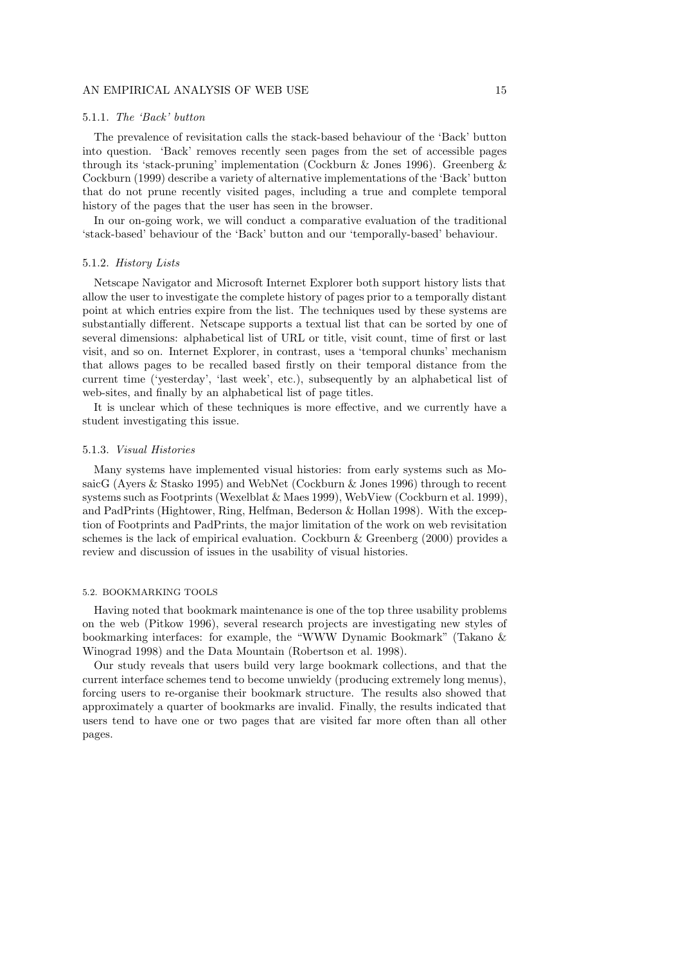#### 5.1.1. *The 'Back' button*

The prevalence of revisitation calls the stack-based behaviour of the 'Back' button into question. 'Back' removes recently seen pages from the set of accessible pages through its 'stack-pruning' implementation (Cockburn & Jones 1996). Greenberg & Cockburn (1999) describe a variety of alternative implementations of the 'Back' button that do not prune recently visited pages, including a true and complete temporal history of the pages that the user has seen in the browser.

In our on-going work, we will conduct a comparative evaluation of the traditional 'stack-based' behaviour of the 'Back' button and our 'temporally-based' behaviour.

#### 5.1.2. *History Lists*

Netscape Navigator and Microsoft Internet Explorer both support history lists that allow the user to investigate the complete history of pages prior to a temporally distant point at which entries expire from the list. The techniques used by these systems are substantially different. Netscape supports a textual list that can be sorted by one of several dimensions: alphabetical list of URL or title, visit count, time of first or last visit, and so on. Internet Explorer, in contrast, uses a 'temporal chunks' mechanism that allows pages to be recalled based firstly on their temporal distance from the current time ('yesterday', 'last week', etc.), subsequently by an alphabetical list of web-sites, and finally by an alphabetical list of page titles.

It is unclear which of these techniques is more effective, and we currently have a student investigating this issue.

#### 5.1.3. *Visual Histories*

Many systems have implemented visual histories: from early systems such as MosaicG (Ayers & Stasko 1995) and WebNet (Cockburn & Jones 1996) through to recent systems such as Footprints (Wexelblat & Maes 1999), WebView (Cockburn et al. 1999), and PadPrints (Hightower, Ring, Helfman, Bederson & Hollan 1998). With the exception of Footprints and PadPrints, the major limitation of the work on web revisitation schemes is the lack of empirical evaluation. Cockburn & Greenberg (2000) provides a review and discussion of issues in the usability of visual histories.

#### 5.2. BOOKMARKING TOOLS

Having noted that bookmark maintenance is one of the top three usability problems on the web (Pitkow 1996), several research projects are investigating new styles of bookmarking interfaces: for example, the "WWW Dynamic Bookmark" (Takano & Winograd 1998) and the Data Mountain (Robertson et al. 1998).

Our study reveals that users build very large bookmark collections, and that the current interface schemes tend to become unwieldy (producing extremely long menus), forcing users to re-organise their bookmark structure. The results also showed that approximately a quarter of bookmarks are invalid. Finally, the results indicated that users tend to have one or two pages that are visited far more often than all other pages.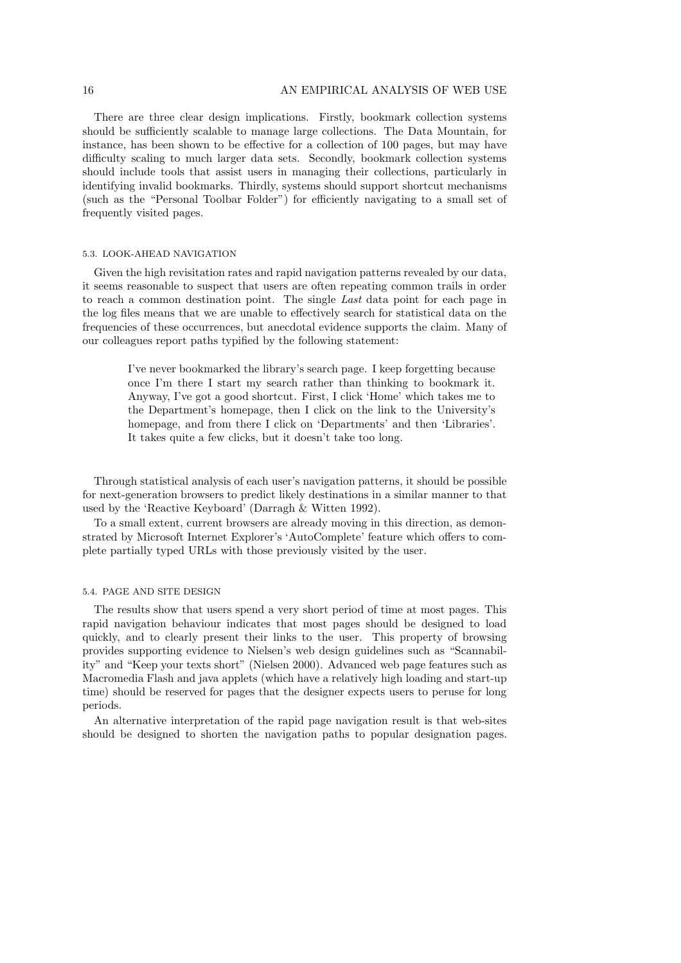There are three clear design implications. Firstly, bookmark collection systems should be sufficiently scalable to manage large collections. The Data Mountain, for instance, has been shown to be effective for a collection of 100 pages, but may have difficulty scaling to much larger data sets. Secondly, bookmark collection systems should include tools that assist users in managing their collections, particularly in identifying invalid bookmarks. Thirdly, systems should support shortcut mechanisms (such as the "Personal Toolbar Folder") for efficiently navigating to a small set of frequently visited pages.

#### 5.3. LOOK-AHEAD NAVIGATION

Given the high revisitation rates and rapid navigation patterns revealed by our data, it seems reasonable to suspect that users are often repeating common trails in order to reach a common destination point. The single *Last* data point for each page in the log files means that we are unable to effectively search for statistical data on the frequencies of these occurrences, but anecdotal evidence supports the claim. Many of our colleagues report paths typified by the following statement:

> I've never bookmarked the library's search page. I keep forgetting because once I'm there I start my search rather than thinking to bookmark it. Anyway, I've got a good shortcut. First, I click 'Home' which takes me to the Department's homepage, then I click on the link to the University's homepage, and from there I click on 'Departments' and then 'Libraries'. It takes quite a few clicks, but it doesn't take too long.

Through statistical analysis of each user's navigation patterns, it should be possible for next-generation browsers to predict likely destinations in a similar manner to that used by the 'Reactive Keyboard' (Darragh & Witten 1992).

To a small extent, current browsers are already moving in this direction, as demonstrated by Microsoft Internet Explorer's 'AutoComplete' feature which offers to complete partially typed URLs with those previously visited by the user.

## 5.4. PAGE AND SITE DESIGN

The results show that users spend a very short period of time at most pages. This rapid navigation behaviour indicates that most pages should be designed to load quickly, and to clearly present their links to the user. This property of browsing provides supporting evidence to Nielsen's web design guidelines such as "Scannability" and "Keep your texts short" (Nielsen 2000). Advanced web page features such as Macromedia Flash and java applets (which have a relatively high loading and start-up time) should be reserved for pages that the designer expects users to peruse for long periods.

An alternative interpretation of the rapid page navigation result is that web-sites should be designed to shorten the navigation paths to popular designation pages.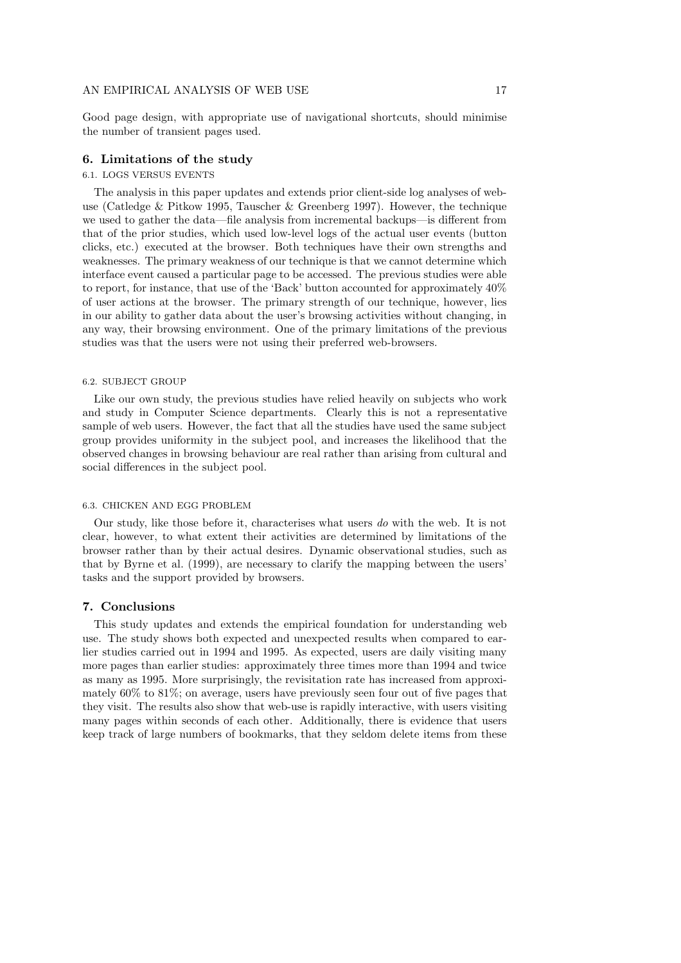Good page design, with appropriate use of navigational shortcuts, should minimise the number of transient pages used.

# **6. Limitations of the study**

# 6.1. LOGS VERSUS EVENTS

The analysis in this paper updates and extends prior client-side log analyses of webuse (Catledge & Pitkow 1995, Tauscher & Greenberg 1997). However, the technique we used to gather the data—file analysis from incremental backups—is different from that of the prior studies, which used low-level logs of the actual user events (button clicks, etc.) executed at the browser. Both techniques have their own strengths and weaknesses. The primary weakness of our technique is that we cannot determine which interface event caused a particular page to be accessed. The previous studies were able to report, for instance, that use of the 'Back' button accounted for approximately 40% of user actions at the browser. The primary strength of our technique, however, lies in our ability to gather data about the user's browsing activities without changing, in any way, their browsing environment. One of the primary limitations of the previous studies was that the users were not using their preferred web-browsers.

#### 6.2. SUBJECT GROUP

Like our own study, the previous studies have relied heavily on subjects who work and study in Computer Science departments. Clearly this is not a representative sample of web users. However, the fact that all the studies have used the same subject group provides uniformity in the subject pool, and increases the likelihood that the observed changes in browsing behaviour are real rather than arising from cultural and social differences in the subject pool.

#### 6.3. CHICKEN AND EGG PROBLEM

Our study, like those before it, characterises what users *do* with the web. It is not clear, however, to what extent their activities are determined by limitations of the browser rather than by their actual desires. Dynamic observational studies, such as that by Byrne et al. (1999), are necessary to clarify the mapping between the users' tasks and the support provided by browsers.

# **7. Conclusions**

This study updates and extends the empirical foundation for understanding web use. The study shows both expected and unexpected results when compared to earlier studies carried out in 1994 and 1995. As expected, users are daily visiting many more pages than earlier studies: approximately three times more than 1994 and twice as many as 1995. More surprisingly, the revisitation rate has increased from approximately 60% to 81%; on average, users have previously seen four out of five pages that they visit. The results also show that web-use is rapidly interactive, with users visiting many pages within seconds of each other. Additionally, there is evidence that users keep track of large numbers of bookmarks, that they seldom delete items from these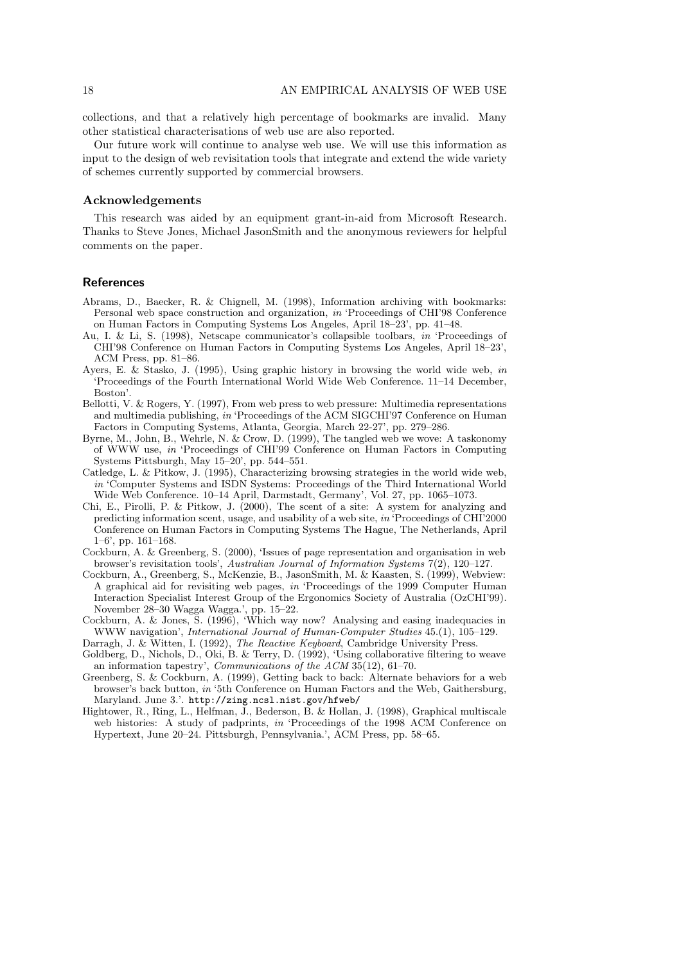collections, and that a relatively high percentage of bookmarks are invalid. Many other statistical characterisations of web use are also reported.

Our future work will continue to analyse web use. We will use this information as input to the design of web revisitation tools that integrate and extend the wide variety of schemes currently supported by commercial browsers.

# **Acknowledgements**

This research was aided by an equipment grant-in-aid from Microsoft Research. Thanks to Steve Jones, Michael JasonSmith and the anonymous reviewers for helpful comments on the paper.

# **References**

- Abrams, D., Baecker, R. & Chignell, M. (1998), Information archiving with bookmarks: Personal web space construction and organization, in 'Proceedings of CHI'98 Conference on Human Factors in Computing Systems Los Angeles, April 18–23', pp. 41–48.
- Au, I. & Li, S. (1998), Netscape communicator's collapsible toolbars, in 'Proceedings of CHI'98 Conference on Human Factors in Computing Systems Los Angeles, April 18–23', ACM Press, pp. 81–86.
- Ayers, E. & Stasko, J. (1995), Using graphic history in browsing the world wide web, in 'Proceedings of the Fourth International World Wide Web Conference. 11–14 December, Boston'.
- Bellotti, V. & Rogers, Y. (1997), From web press to web pressure: Multimedia representations and multimedia publishing, in 'Proceedings of the ACM SIGCHI'97 Conference on Human Factors in Computing Systems, Atlanta, Georgia, March 22-27', pp. 279–286.
- Byrne, M., John, B., Wehrle, N. & Crow, D. (1999), The tangled web we wove: A taskonomy of WWW use, in 'Proceedings of CHI'99 Conference on Human Factors in Computing Systems Pittsburgh, May 15–20', pp. 544–551.
- Catledge, L. & Pitkow, J. (1995), Characterizing browsing strategies in the world wide web, in 'Computer Systems and ISDN Systems: Proceedings of the Third International World Wide Web Conference. 10–14 April, Darmstadt, Germany', Vol. 27, pp. 1065–1073.
- Chi, E., Pirolli, P. & Pitkow, J. (2000), The scent of a site: A system for analyzing and predicting information scent, usage, and usability of a web site, in 'Proceedings of CHI'2000 Conference on Human Factors in Computing Systems The Hague, The Netherlands, April  $1-6$ ', pp.  $161-168$ .
- Cockburn, A. & Greenberg, S. (2000), 'Issues of page representation and organisation in web browser's revisitation tools', Australian Journal of Information Systems 7(2), 120–127.
- Cockburn, A., Greenberg, S., McKenzie, B., JasonSmith, M. & Kaasten, S. (1999), Webview: A graphical aid for revisiting web pages, in 'Proceedings of the 1999 Computer Human Interaction Specialist Interest Group of the Ergonomics Society of Australia (OzCHI'99). November 28–30 Wagga Wagga.', pp. 15–22.
- Cockburn, A. & Jones, S. (1996), 'Which way now? Analysing and easing inadequacies in WWW navigation', *International Journal of Human-Computer Studies* 45.(1), 105–129.
- Darragh, J. & Witten, I. (1992), The Reactive Keyboard, Cambridge University Press.
- Goldberg, D., Nichols, D., Oki, B. & Terry, D. (1992), 'Using collaborative filtering to weave an information tapestry', Communications of the ACM 35(12), 61–70.
- Greenberg, S. & Cockburn, A. (1999), Getting back to back: Alternate behaviors for a web browser's back button, in '5th Conference on Human Factors and the Web, Gaithersburg, Maryland. June 3.'. http://zing.ncsl.nist.gov/hfweb/
- Hightower, R., Ring, L., Helfman, J., Bederson, B. & Hollan, J. (1998), Graphical multiscale web histories: A study of padprints, in 'Proceedings of the 1998 ACM Conference on Hypertext, June 20–24. Pittsburgh, Pennsylvania.', ACM Press, pp. 58–65.